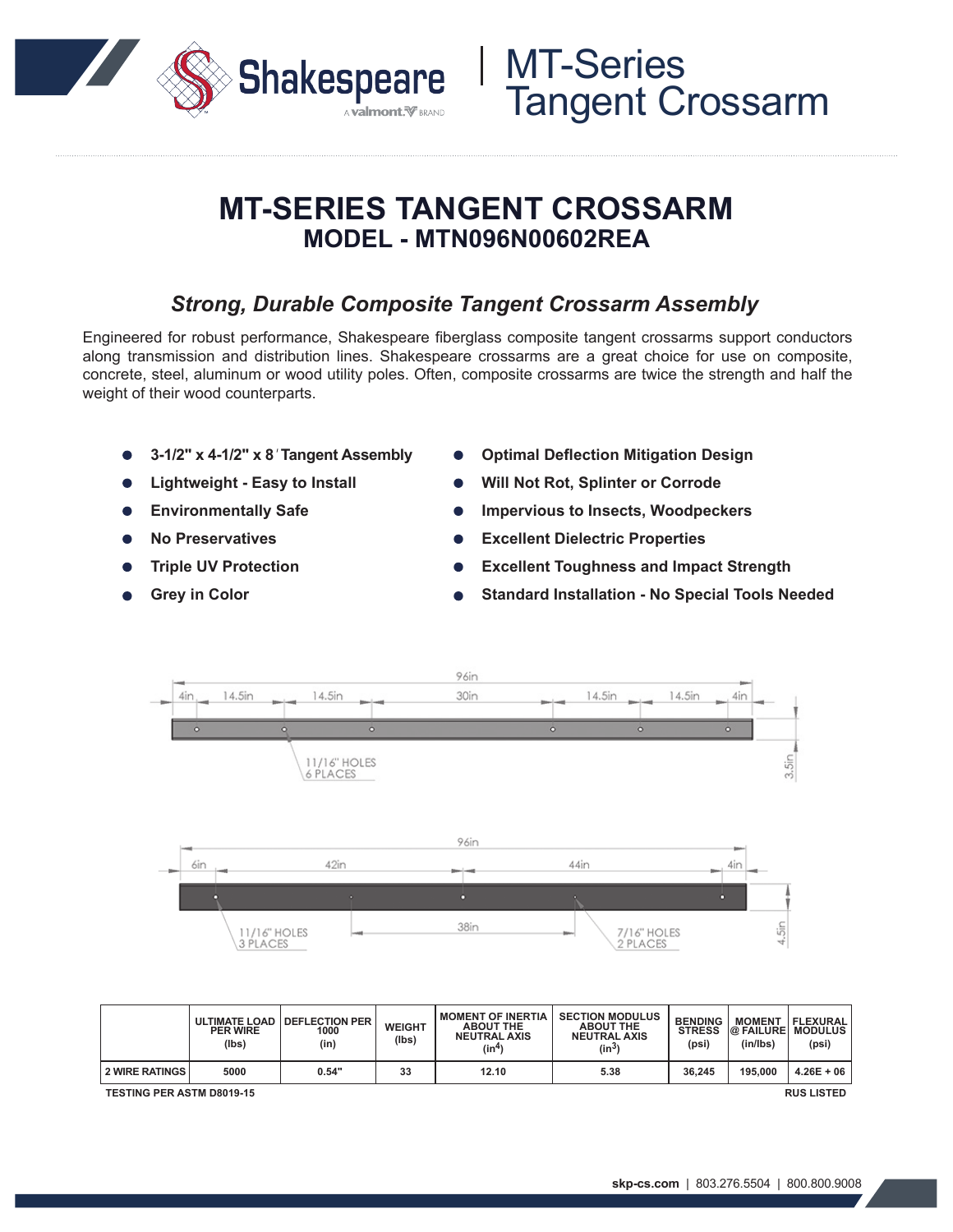

## **MT-SERIES TANGENT CROSSARM MODEL - MTN096N00602REA**

### *Strong, Durable Composite Tangent Crossarm Assembly*

Engineered for robust performance, Shakespeare fiberglass composite tangent crossarms support conductors along transmission and distribution lines. Shakespeare crossarms are a great choice for use on composite, concrete, steel, aluminum or wood utility poles. Often, composite crossarms are twice the strength and half the weight of their wood counterparts.

- **3-1/2" x 4-1/2" x 8***'* **Tangent Assembly**
- **Lightweight Easy to Install**
- **Environmentally Safe**
- **No Preservatives**
- **Triple UV Protection**
- **Grey in Color**
- **Optimal Deflection Mitigation Design**
- **Will Not Rot, Splinter or Corrode**
- **Impervious to Insects, Woodpeckers**
- **Excellent Dielectric Properties**
- **Excellent Toughness and Impact Strength**
- **Standard Installation No Special Tools Needed**



|                | <b>ULTIMATE LOAD</b><br><b>PER WIRE</b><br>(lbs) | <b>I DEFLECTION PER</b><br>1000<br>(in) | <b>WEIGHT</b><br>(lbs) | <b>MOMENT OF INERTIA</b><br><b>ABOUT THE</b><br><b>NEUTRAL AXIS</b><br>(in <sup>4</sup> ) | <b>SECTION MODULUS</b><br><b>ABOUT THE</b><br><b>NEUTRAL AXIS</b><br>(in <sup>3</sup> | <b>BENDING</b><br><b>STRESS</b><br>(psi) | <b>MOMENT</b><br><b>@ FAILURE MODULUS</b><br>(in/lbs) | <b>FLEXURAL</b><br>(psi) |
|----------------|--------------------------------------------------|-----------------------------------------|------------------------|-------------------------------------------------------------------------------------------|---------------------------------------------------------------------------------------|------------------------------------------|-------------------------------------------------------|--------------------------|
| 2 WIRE RATINGS | 5000                                             | 0.54"                                   | 33                     | 12.10                                                                                     | 5.38                                                                                  | 36.245                                   | 195.000                                               | $4.26E + 06$             |

**TESTING PER ASTM D8019-15 RUS LISTED**